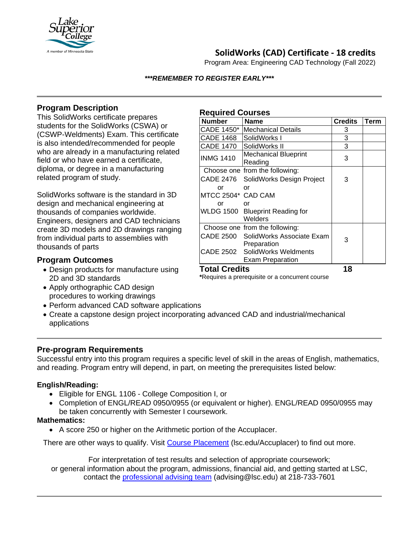

# **SolidWorks (CAD) Certificate - 18 credits**

Program Area: Engineering CAD Technology (Fall 2022)

#### *\*\*\*REMEMBER TO REGISTER EARLY\*\*\**

**Required Courses**

### **Program Description**

This SolidWorks certificate prepares students for the SolidWorks (CSWA) or (CSWP-Weldments) Exam. This certificate is also intended/recommended for people who are already in a manufacturing related field or who have earned a certificate, diploma, or degree in a manufacturing related program of study.

SolidWorks software is the standard in 3D design and mechanical engineering at thousands of companies worldwide. Engineers, designers and CAD technicians create 3D models and 2D drawings ranging from individual parts to assemblies with thousands of parts

### **Program Outcomes**

- Design products for manufacture using 2D and 3D standards
- Apply orthographic CAD design procedures to working drawings
- Perform advanced CAD software applications
- Create a capstone design project incorporating advanced CAD and industrial/mechanical applications

### **Pre-program Requirements**

Successful entry into this program requires a specific level of skill in the areas of English, mathematics, and reading. Program entry will depend, in part, on meeting the prerequisites listed below:

### **English/Reading:**

- Eligible for ENGL 1106 College Composition I, or
- Completion of ENGL/READ 0950/0955 (or equivalent or higher). ENGL/READ 0950/0955 may be taken concurrently with Semester I coursework.

#### **Mathematics:**

• A score 250 or higher on the Arithmetic portion of the Accuplacer.

There are other ways to qualify. Visit Course [Placement](https://www.lsc.edu/course-placement/) (lsc.edu/Accuplacer) to find out more.

For interpretation of test results and selection of appropriate coursework; or general information about the program, admissions, financial aid, and getting started at LSC, contact the [professional advising team](mailto:advising@lsc.edu) (advising@lsc.edu) at 218-733-7601

| <b>Number</b>      | <b>Name</b>                                | <b>Credits</b> | <b>Term</b> |
|--------------------|--------------------------------------------|----------------|-------------|
| CADE 1450*         | <b>Mechanical Details</b>                  | 3              |             |
| <b>CADE 1468</b>   | SolidWorks I                               | 3              |             |
| <b>CADE 1470</b>   | SolidWorks II                              | 3              |             |
| <b>INMG 1410</b>   | <b>Mechanical Blueprint</b><br>Reading     | 3              |             |
|                    | Choose one from the following:             |                |             |
|                    | CADE 2476 SolidWorks Design Project        | 3              |             |
| or                 | Ωr                                         |                |             |
| MTCC 2504* CAD CAM |                                            |                |             |
| or                 | or                                         |                |             |
|                    | WLDG 1500 Blueprint Reading for<br>Welders |                |             |
|                    | Choose one from the following:             |                |             |
|                    | CADE 2500 SolidWorks Associate Exam        | 3              |             |
|                    | Preparation                                |                |             |
|                    | CADE 2502 SolidWorks Weldments             |                |             |
|                    | <b>Exam Preparation</b>                    |                |             |
| Total Credits      |                                            | 18             |             |

**\***Requires a prerequisite or a concurrent course